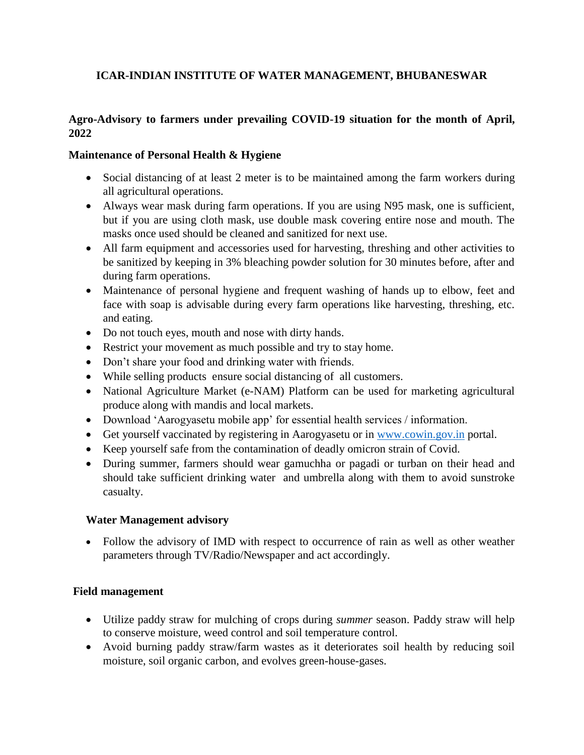# **ICAR-INDIAN INSTITUTE OF WATER MANAGEMENT, BHUBANESWAR**

### **Agro-Advisory to farmers under prevailing COVID-19 situation for the month of April, 2022**

#### **Maintenance of Personal Health & Hygiene**

- Social distancing of at least 2 meter is to be maintained among the farm workers during all agricultural operations.
- Always wear mask during farm operations. If you are using N95 mask, one is sufficient, but if you are using cloth mask, use double mask covering entire nose and mouth. The masks once used should be cleaned and sanitized for next use.
- All farm equipment and accessories used for harvesting, threshing and other activities to be sanitized by keeping in 3% bleaching powder solution for 30 minutes before, after and during farm operations.
- Maintenance of personal hygiene and frequent washing of hands up to elbow, feet and face with soap is advisable during every farm operations like harvesting, threshing, etc. and eating.
- Do not touch eyes, mouth and nose with dirty hands.
- Restrict your movement as much possible and try to stay home.
- Don't share your food and drinking water with friends.
- While selling products ensure social distancing of all customers.
- National Agriculture Market (e-NAM) Platform can be used for marketing agricultural produce along with mandis and local markets.
- Download 'Aarogyasetu mobile app' for essential health services / information.
- Get yourself vaccinated by registering in Aarogyasetu or in [www.cowin.gov.in](http://www.cowin.gov.in/) portal.
- Keep yourself safe from the contamination of deadly omicron strain of Covid.
- During summer, farmers should wear gamuchha or pagadi or turban on their head and should take sufficient drinking water and umbrella along with them to avoid sunstroke casualty.

#### **Water Management advisory**

 Follow the advisory of IMD with respect to occurrence of rain as well as other weather parameters through TV/Radio/Newspaper and act accordingly.

#### **Field management**

- Utilize paddy straw for mulching of crops during *summer* season. Paddy straw will help to conserve moisture, weed control and soil temperature control.
- Avoid burning paddy straw/farm wastes as it deteriorates soil health by reducing soil moisture, soil organic carbon, and evolves green-house-gases.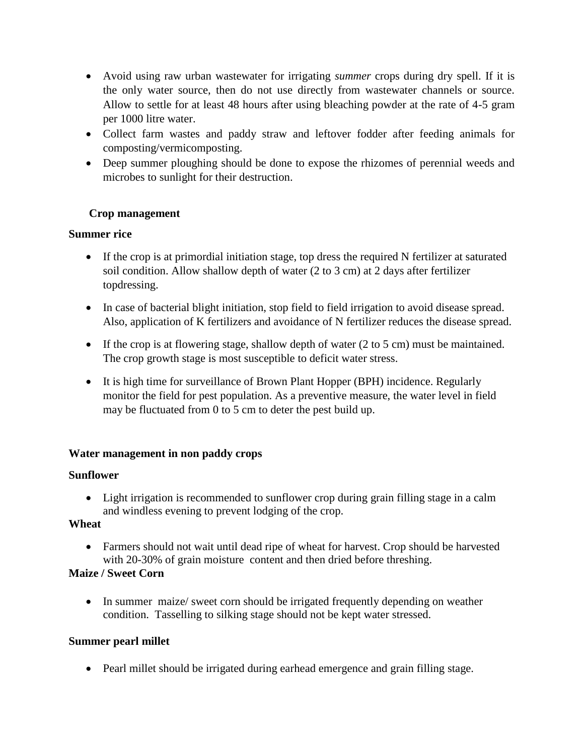- Avoid using raw urban wastewater for irrigating *summer* crops during dry spell. If it is the only water source, then do not use directly from wastewater channels or source. Allow to settle for at least 48 hours after using bleaching powder at the rate of 4-5 gram per 1000 litre water.
- Collect farm wastes and paddy straw and leftover fodder after feeding animals for composting/vermicomposting.
- Deep summer ploughing should be done to expose the rhizomes of perennial weeds and microbes to sunlight for their destruction.

#### **Crop management**

### **Summer rice**

- If the crop is at primordial initiation stage, top dress the required N fertilizer at saturated soil condition. Allow shallow depth of water (2 to 3 cm) at 2 days after fertilizer topdressing.
- In case of bacterial blight initiation, stop field to field irrigation to avoid disease spread. Also, application of K fertilizers and avoidance of N fertilizer reduces the disease spread.
- If the crop is at flowering stage, shallow depth of water (2 to 5 cm) must be maintained. The crop growth stage is most susceptible to deficit water stress.
- It is high time for surveillance of Brown Plant Hopper (BPH) incidence. Regularly monitor the field for pest population. As a preventive measure, the water level in field may be fluctuated from 0 to 5 cm to deter the pest build up.

#### **Water management in non paddy crops**

#### **Sunflower**

 Light irrigation is recommended to sunflower crop during grain filling stage in a calm and windless evening to prevent lodging of the crop.

#### **Wheat**

 Farmers should not wait until dead ripe of wheat for harvest. Crop should be harvested with 20-30% of grain moisture content and then dried before threshing.

#### **Maize / Sweet Corn**

• In summer maize/ sweet corn should be irrigated frequently depending on weather condition. Tasselling to silking stage should not be kept water stressed.

## **Summer pearl millet**

Pearl millet should be irrigated during earhead emergence and grain filling stage.